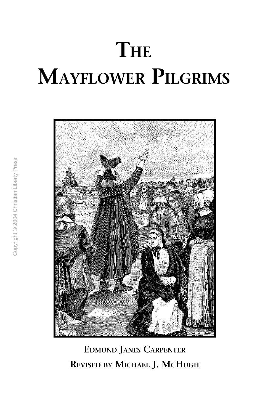# **THE MAYFLOWER PILGRIMS**



**EDMUND JANES CARPENTER REVISED BY MICHAEL J. MCHUGH**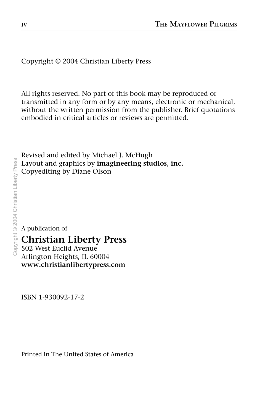Copyright © 2004 Christian Liberty Press

All rights reserved. No part of this book may be reproduced or transmitted in any form or by any means, electronic or mechanical, without the written permission from the publisher. Brief quotations embodied in critical articles or reviews are permitted.

Revised and edited by Michael J. McHugh Layout and graphics by **imagineering studios, inc.** Copyediting by Diane Olson

A publication of

#### **Christian Liberty Press**

502 West Euclid Avenue Arlington Heights, IL 60004 **www.christianlibertypress.com**

ISBN 1-930092-17-2

Printed in The United States of America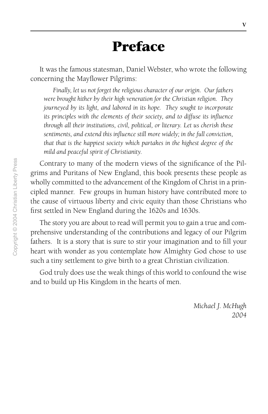### **Preface**

<span id="page-2-0"></span>It was the famous statesman, Daniel Webster, who wrote the following concerning the Mayflower Pilgrims:

*Finally, let us not forget the religious character of our origin. Our fathers were brought hither by their high veneration for the Christian religion. They journeyed by its light, and labored in its hope. They sought to incorporate its principles with the elements of their society, and to diffuse its influence through all their institutions, civil, political, or literary. Let us cherish these sentiments, and extend this influence still more widely; in the full conviction, that that is the happiest society which partakes in the highest degree of the mild and peaceful spirit of Christianity*.

Contrary to many of the modern views of the significance of the Pilgrims and Puritans of New England, this book presents these people as wholly committed to the advancement of the Kingdom of Christ in a principled manner. Few groups in human history have contributed more to the cause of virtuous liberty and civic equity than those Christians who first settled in New England during the 1620s and 1630s.

The story you are about to read will permit you to gain a true and comprehensive understanding of the contributions and legacy of our Pilgrim fathers. It is a story that is sure to stir your imagination and to fill your heart with wonder as you contemplate how Almighty God chose to use such a tiny settlement to give birth to a great Christian civilization.

God truly does use the weak things of this world to confound the wise and to build up His Kingdom in the hearts of men.

> *Michael J. McHugh 2004*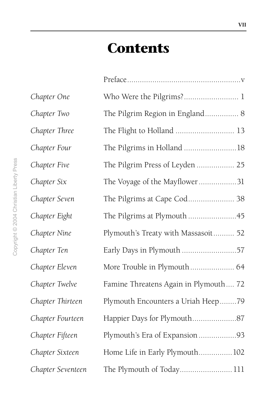# **Contents**

| Chapter One       | Who Were the Pilgrims? 1              |
|-------------------|---------------------------------------|
| Chapter Two       | The Pilgrim Region in England 8       |
| Chapter Three     | The Flight to Holland  13             |
| Chapter Four      | The Pilgrims in Holland 18            |
| Chapter Five      | The Pilgrim Press of Leyden  25       |
| Chapter Six       | The Voyage of the Mayflower31         |
| Chapter Seven     | The Pilgrims at Cape Cod 38           |
| Chapter Eight     | The Pilgrims at Plymouth45            |
| Chapter Nine      | Plymouth's Treaty with Massasoit 52   |
| Chapter Ten       | Early Days in Plymouth 57             |
| Chapter Eleven    |                                       |
| Chapter Twelve    | Famine Threatens Again in Plymouth 72 |
| Chapter Thirteen  | Plymouth Encounters a Uriah Heep79    |
| Chapter Fourteen  |                                       |
| Chapter Fifteen   | Plymouth's Era of Expansion 93        |
| Chapter Sixteen   | Home Life in Early Plymouth 102       |
| Chapter Seventeen | The Plymouth of Today111              |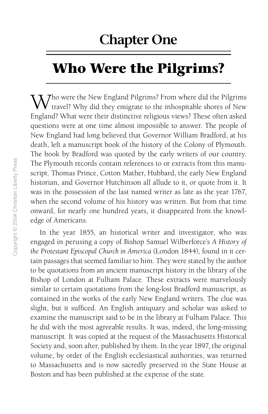### **Chapter One**

# **Who Were the Pilgrims?**

Tho were the New England Pilgrims? From where did the Pilgrims I travel? Why did they emigrate to the inhospitable shores of New England? What were their distinctive religious views? These often asked questions were at one time almost impossible to answer. The people of New England had long believed that Governor William Bradford, at his death, left a manuscript book of the history of the Colony of Plymouth. The book by Bradford was quoted by the early writers of our country. The Plymouth records contain references to or extracts from this manuscript. Thomas Prince, Cotton Mather, Hubbard, the early New England historian, and Governor Hutchinson all allude to it, or quote from it. It was in the possession of the last named writer as late as the year 1767, when the second volume of his history was written. But from that time onward, for nearly one hundred years, it disappeared from the knowledge of Americans.

In the year 1855, an historical writer and investigator, who was engaged in perusing a copy of Bishop Samuel Wilberforce's *A History of the Protestant Episcopal Church in America* (London 1844), found in it certain passages that seemed familiar to him. They were stated by the author to be quotations from an ancient manuscript history in the library of the Bishop of London at Fulham Palace. These extracts were marvelously similar to certain quotations from the long-lost Bradford manuscript, as contained in the works of the early New England writers. The clue was slight, but it sufficed. An English antiquary and scholar was asked to examine the manuscript said to be in the library at Fulham Palace. This he did with the most agreeable results. It was, indeed, the long-missing manuscript. It was copied at the request of the Massachusetts Historical Society and, soon after, published by them. In the year 1897, the original volume, by order of the English ecclesiastical authorities, was returned to Massachusetts and is now sacredly preserved in the State House at Boston and has been published at the expense of the state.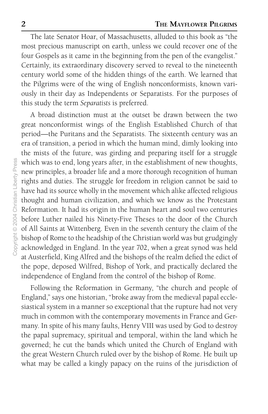The late Senator Hoar, of Massachusetts, alluded to this book as "the most precious manuscript on earth, unless we could recover one of the four Gospels as it came in the beginning from the pen of the evangelist." Certainly, its extraordinary discovery served to reveal to the nineteenth century world some of the hidden things of the earth. We learned that the Pilgrims were of the wing of English nonconformists, known variously in their day as Independents or Separatists. For the purposes of this study the term *Separatists* is preferred.

A broad distinction must at the outset be drawn between the two great nonconformist wings of the English Established Church of that period—the Puritans and the Separatists. The sixteenth century was an era of transition, a period in which the human mind, dimly looking into the mists of the future, was girding and preparing itself for a struggle which was to end, long years after, in the establishment of new thoughts, new principles, a broader life and a more thorough recognition of human rights and duties. The struggle for freedom in religion cannot be said to have had its source wholly in the movement which alike affected religious thought and human civilization, and which we know as the Protestant Reformation. It had its origin in the human heart and soul two centuries before Luther nailed his Ninety-Five Theses to the door of the Church of All Saints at Wittenberg. Even in the seventh century the claim of the bishop of Rome to the headship of the Christian world was but grudgingly acknowledged in England. In the year 702, when a great synod was held at Austerfield, King Alfred and the bishops of the realm defied the edict of the pope, deposed Wilfred, Bishop of York, and practically declared the independence of England from the control of the bishop of Rome.

Following the Reformation in Germany, "the church and people of England," says one historian, "broke away from the medieval papal ecclesiastical system in a manner so exceptional that the rupture had not very much in common with the contemporary movements in France and Germany. In spite of his many faults, Henry VIII was used by God to destroy the papal supremacy, spiritual and temporal, within the land which he governed; he cut the bands which united the Church of England with the great Western Church ruled over by the bishop of Rome. He built up what may be called a kingly papacy on the ruins of the jurisdiction of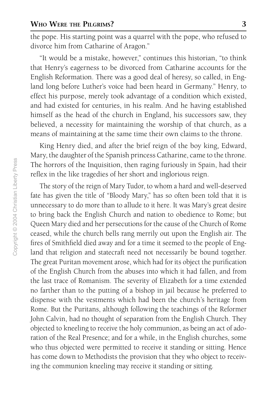the pope. His starting point was a quarrel with the pope, who refused to divorce him from Catharine of Aragon."

"It would be a mistake, however," continues this historian, "to think that Henry's eagerness to be divorced from Catharine accounts for the English Reformation. There was a good deal of heresy*,* so called, in England long before Luther's voice had been heard in Germany." Henry, to effect his purpose, merely took advantage of a condition which existed, and had existed for centuries, in his realm. And he having established himself as the head of the church in England, his successors saw, they believed, a necessity for maintaining the worship of that church, as a means of maintaining at the same time their own claims to the throne.

King Henry died, and after the brief reign of the boy king, Edward, Mary, the daughter of the Spanish princess Catharine, came to the throne. The horrors of the Inquisition, then raging furiously in Spain, had their reflex in the like tragedies of her short and inglorious reign.

The story of the reign of Mary Tudor, to whom a hard and well-deserved fate has given the title of "Bloody Mary," has so often been told that it is unnecessary to do more than to allude to it here. It was Mary's great desire to bring back the English Church and nation to obedience to Rome; but Queen Mary died and her persecutions for the cause of the Church of Rome ceased, while the church bells rang merrily out upon the English air. The fires of Smithfield died away and for a time it seemed to the people of England that religion and statecraft need not necessarily be bound together. The great Puritan movement arose, which had for its object the purification of the English Church from the abuses into which it had fallen, and from the last trace of Romanism. The severity of Elizabeth for a time extended no farther than to the putting of a bishop in jail because he preferred to dispense with the vestments which had been the church's heritage from Rome. But the Puritans, although following the teachings of the Reformer John Calvin, had no thought of separation from the English Church. They objected to kneeling to receive the holy communion, as being an act of adoration of the Real Presence; and for a while, in the English churches, some who thus objected were permitted to receive it standing or sitting. Hence has come down to Methodists the provision that they who object to receiving the communion kneeling may receive it standing or sitting.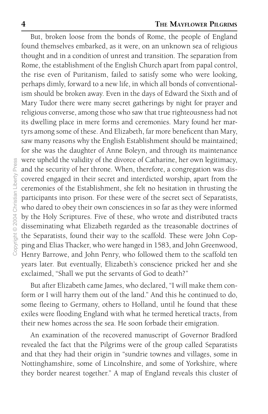But, broken loose from the bonds of Rome, the people of England found themselves embarked, as it were, on an unknown sea of religious thought and in a condition of unrest and transition. The separation from Rome, the establishment of the English Church apart from papal control, the rise even of Puritanism, failed to satisfy some who were looking, perhaps dimly, forward to a new life, in which all bonds of conventionalism should be broken away. Even in the days of Edward the Sixth and of Mary Tudor there were many secret gatherings by night for prayer and religious converse, among those who saw that true righteousness had not its dwelling place in mere forms and ceremonies. Mary found her martyrs among some of these. And Elizabeth, far more beneficent than Mary, saw many reasons why the English Establishment should be maintained; for she was the daughter of Anne Boleyn, and through its maintenance were upheld the validity of the divorce of Catharine, her own legitimacy, and the security of her throne. When, therefore, a congregation was discovered engaged in their secret and interdicted worship, apart from the ceremonies of the Establishment, she felt no hesitation in thrusting the participants into prison. For these were of the secret sect of Separatists, who dared to obey their own consciences in so far as they were informed by the Holy Scriptures. Five of these, who wrote and distributed tracts disseminating what Elizabeth regarded as the treasonable doctrines of the Separatists, found their way to the scaffold. These were John Copping and Elias Thacker, who were hanged in 1583, and John Greenwood, Henry Barrowe, and John Penry, who followed them to the scaffold ten years later. But eventually, Elizabeth's conscience pricked her and she exclaimed, "Shall we put the servants of God to death?"

But after Elizabeth came James, who declared, "I will make them conform or I will harry them out of the land." And this he continued to do, some fleeing to Germany, others to Holland, until he found that these exiles were flooding England with what he termed heretical tracts, from their new homes across the sea. He soon forbade their emigration.

An examination of the recovered manuscript of Governor Bradford revealed the fact that the Pilgrims were of the group called Separatists and that they had their origin in "sundrie townes and villages, some in Nottinghamshire, some of Lincolnshire, and some of Yorkshire, where they border nearest together." A map of England reveals this cluster of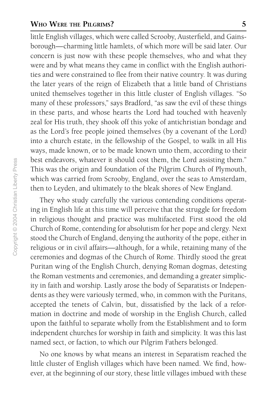#### **WHO WERE THE PILGRIMS? 5**

little English villages, which were called Scrooby, Austerfield, and Gainsborough—charming little hamlets, of which more will be said later. Our concern is just now with these people themselves, who and what they were and by what means they came in conflict with the English authorities and were constrained to flee from their native country. It was during the later years of the reign of Elizabeth that a little band of Christians united themselves together in this little cluster of English villages. "So many of these professors," says Bradford, "as saw the evil of these things in these parts, and whose hearts the Lord had touched with heavenly zeal for His truth, they shook off this yoke of antichristian bondage and as the Lord's free people joined themselves (by a covenant of the Lord) into a church estate, in the fellowship of the Gospel, to walk in all His ways, made known, or to be made known unto them, according to their best endeavors, whatever it should cost them, the Lord assisting them." This was the origin and foundation of the Pilgrim Church of Plymouth, which was carried from Scrooby, England, over the seas to Amsterdam, then to Leyden, and ultimately to the bleak shores of New England.

They who study carefully the various contending conditions operating in English life at this time will perceive that the struggle for freedom in religious thought and practice was multifaceted. First stood the old Church of Rome, contending for absolutism for her pope and clergy. Next stood the Church of England, denying the authority of the pope, either in religious or in civil affairs—although, for a while, retaining many of the ceremonies and dogmas of the Church of Rome. Thirdly stood the great Puritan wing of the English Church, denying Roman dogmas, detesting the Roman vestments and ceremonies, and demanding a greater simplicity in faith and worship. Lastly arose the body of Separatists or Independents as they were variously termed, who, in common with the Puritans, accepted the tenets of Calvin, but, dissatisfied by the lack of a reformation in doctrine and mode of worship in the English Church, called upon the faithful to separate wholly from the Establishment and to form independent churches for worship in faith and simplicity. It was this last named sect, or faction, to which our Pilgrim Fathers belonged.

No one knows by what means an interest in Separatism reached the little cluster of English villages which have been named. We find, however, at the beginning of our story, these little villages imbued with these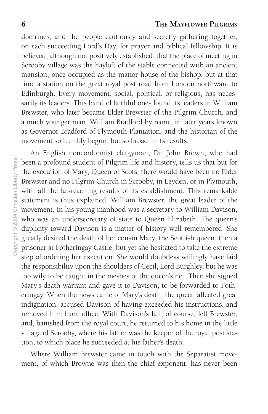doctrines, and the people cautiously and secretly gathering together, on each succeeding Lord's Day, for prayer and biblical fellowship. It is believed, although not positively established, that the place of meeting in Scrooby village was the hayloft of the stable connected with an ancient mansion, once occupied as the manor house of the bishop, but at that time a station on the great royal post road from London northward to Edinburgh. Every movement, social, political, or religious, has necessarily its leaders. This band of faithful ones found its leaders in William Brewster, who later became Elder Brewster of the Pilgrim Church, and a much younger man, William Bradford by name, in later years known as Governor Bradford of Plymouth Plantation, and the historian of the movement so humbly begun, but so broad in its results.

An English nonconformist clergyman, Dr. John Brown, who had been a profound student of Pilgrim life and history, tells us that but for the execution of Mary, Queen of Scots, there would have been no Elder Brewster and no Pilgrim Church in Scrooby, in Leyden, or in Plymouth, with all the far-reaching results of its establishment. This remarkable statement is thus explained. William Brewster, the great leader of the movement, in his young manhood was a secretary to William Davison, who was an undersecretary of state to Queen Elizabeth. The queen's duplicity toward Davison is a matter of history well remembered. She greatly desired the death of her cousin Mary, the Scottish queen, then a prisoner at Fotheringay Castle, but yet she hesitated to take the extreme step of ordering her execution. She would doubtless willingly have laid the responsibility upon the shoulders of Cecil, Lord Burghley, but he was too wily to be caught in the meshes of the queen's net. Then she signed Mary's death warrant and gave it to Davison, to be forwarded to Fotheringay. When the news came of Mary's death, the queen affected great indignation, accused Davison of having exceeded his instructions, and removed him from office. With Davison's fall, of course, fell Brewster, and, banished from the royal court, he returned to his home in the little village of Scrooby, where his father was the keeper of the royal post station, to which place he succeeded at his father's death.

Where William Brewster came in touch with the Separatist movement, of which Browne was then the chief exponent, has never been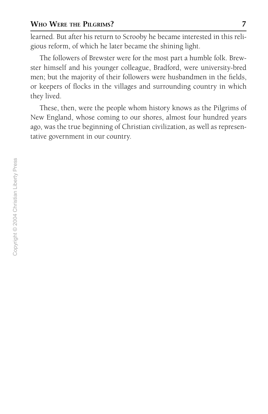learned. But after his return to Scrooby he became interested in this religious reform, of which he later became the shining light.

The followers of Brewster were for the most part a humble folk. Brewster himself and his younger colleague, Bradford, were university-bred men; but the majority of their followers were husbandmen in the fields, or keepers of flocks in the villages and surrounding country in which they lived.

These, then, were the people whom history knows as the Pilgrims of New England, whose coming to our shores, almost four hundred years ago, was the true beginning of Christian civilization, as well as representative government in our country.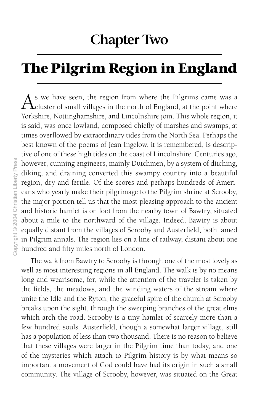### **Chapter Two**

# **The Pilgrim Region in England**

s we have seen, the region from where the Pilgrims came was a  $\Gamma$  cluster of small villages in the north of England, at the point where Yorkshire, Nottinghamshire, and Lincolnshire join. This whole region, it is said, was once lowland, composed chiefly of marshes and swamps, at times overflowed by extraordinary tides from the North Sea. Perhaps the best known of the poems of Jean Ingelow, it is remembered, is descriptive of one of these high tides on the coast of Lincolnshire. Centuries ago, however, cunning engineers, mainly Dutchmen, by a system of ditching, diking, and draining converted this swampy country into a beautiful region, dry and fertile. Of the scores and perhaps hundreds of Americans who yearly make their pilgrimage to the Pilgrim shrine at Scrooby, the major portion tell us that the most pleasing approach to the ancient and historic hamlet is on foot from the nearby town of Bawtry, situated about a mile to the northward of the village. Indeed, Bawtry is about equally distant from the villages of Scrooby and Austerfield, both famed in Pilgrim annals. The region lies on a line of railway, distant about one hundred and fifty miles north of London.

The walk from Bawtry to Scrooby is through one of the most lovely as well as most interesting regions in all England. The walk is by no means long and wearisome, for, while the attention of the traveler is taken by the fields, the meadows, and the winding waters of the stream where unite the Idle and the Ryton, the graceful spire of the church at Scrooby breaks upon the sight, through the sweeping branches of the great elms which arch the road. Scrooby is a tiny hamlet of scarcely more than a few hundred souls. Austerfield, though a somewhat larger village, still has a population of less than two thousand. There is no reason to believe that these villages were larger in the Pilgrim time than today, and one of the mysteries which attach to Pilgrim history is by what means so important a movement of God could have had its origin in such a small community. The village of Scrooby, however, was situated on the Great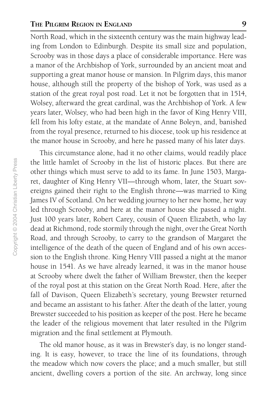#### **THE PILGRIM REGION IN ENGLAND 9**

North Road, which in the sixteenth century was the main highway leading from London to Edinburgh. Despite its small size and population, Scrooby was in those days a place of considerable importance. Here was a manor of the Archbishop of York, surrounded by an ancient moat and supporting a great manor house or mansion. In Pilgrim days, this manor house, although still the property of the bishop of York, was used as a station of the great royal post road. Let it not be forgotten that in 1514, Wolsey, afterward the great cardinal, was the Archbishop of York. A few years later, Wolsey, who had been high in the favor of King Henry VIII, fell from his lofty estate, at the mandate of Anne Boleyn, and, banished from the royal presence, returned to his diocese, took up his residence at the manor house in Scrooby, and here he passed many of his later days.

This circumstance alone, had it no other claims, would readily place the little hamlet of Scrooby in the list of historic places. But there are other things which must serve to add to its fame. In June 1503, Margaret, daughter of King Henry VII—through whom, later, the Stuart sovereigns gained their right to the English throne—was married to King James IV of Scotland. On her wedding journey to her new home, her way led through Scrooby, and here at the manor house she passed a night. Just 100 years later, Robert Carey, cousin of Queen Elizabeth, who lay dead at Richmond, rode stormily through the night, over the Great North Road, and through Scrooby, to carry to the grandson of Margaret the intelligence of the death of the queen of England and of his own accession to the English throne. King Henry VIII passed a night at the manor house in 1541. As we have already learned, it was in the manor house at Scrooby where dwelt the father of William Brewster, then the keeper of the royal post at this station on the Great North Road. Here, after the fall of Davison, Queen Elizabeth's secretary, young Brewster returned and became an assistant to his father. After the death of the latter, young Brewster succeeded to his position as keeper of the post. Here he became the leader of the religious movement that later resulted in the Pilgrim migration and the final settlement at Plymouth.

The old manor house, as it was in Brewster's day, is no longer standing. It is easy, however, to trace the line of its foundations, through the meadow which now covers the place; and a much smaller, but still ancient, dwelling covers a portion of the site. An archway, long since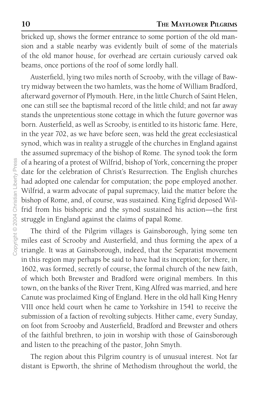bricked up, shows the former entrance to some portion of the old mansion and a stable nearby was evidently built of some of the materials of the old manor house, for overhead are certain curiously carved oak beams, once portions of the roof of some lordly hall.

Austerfield, lying two miles north of Scrooby, with the village of Bawtry midway between the two hamlets, was the home of William Bradford, afterward governor of Plymouth. Here, in the little Church of Saint Helen, one can still see the baptismal record of the little child; and not far away stands the unpretentious stone cottage in which the future governor was born. Austerfield, as well as Scrooby, is entitled to its historic fame. Here, in the year 702, as we have before seen, was held the great ecclesiastical synod, which was in reality a struggle of the churches in England against the assumed supremacy of the bishop of Rome. The synod took the form of a hearing of a protest of Wilfrid, bishop of York, concerning the proper date for the celebration of Christ's Resurrection. The English churches had adopted one calendar for computation; the pope employed another. Wilfrid, a warm advocate of papal supremacy, laid the matter before the bishop of Rome, and, of course, was sustained. King Egfrid deposed Wilfrid from his bishopric and the synod sustained his action—the first struggle in England against the claims of papal Rome.

The third of the Pilgrim villages is Gainsborough, lying some ten miles east of Scrooby and Austerfield, and thus forming the apex of a triangle. It was at Gainsborough, indeed, that the Separatist movement in this region may perhaps be said to have had its inception; for there, in 1602, was formed, secretly of course, the formal church of the new faith, of which both Brewster and Bradford were original members. In this town, on the banks of the River Trent, King Alfred was married, and here Canute was proclaimed King of England. Here in the old hall King Henry VIII once held court when he came to Yorkshire in 1541 to receive the submission of a faction of revolting subjects. Hither came, every Sunday, on foot from Scrooby and Austerfield, Bradford and Brewster and others of the faithful brethren, to join in worship with those of Gainsborough and listen to the preaching of the pastor, John Smyth.

The region about this Pilgrim country is of unusual interest. Not far distant is Epworth, the shrine of Methodism throughout the world, the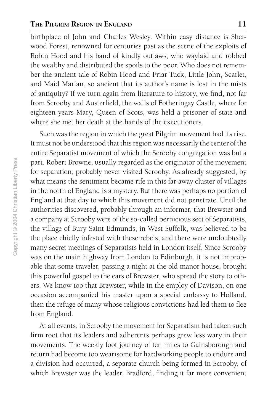#### **THE PILGRIM REGION IN ENGLAND 11**

birthplace of John and Charles Wesley. Within easy distance is Sherwood Forest, renowned for centuries past as the scene of the exploits of Robin Hood and his band of kindly outlaws, who waylaid and robbed the wealthy and distributed the spoils to the poor. Who does not remember the ancient tale of Robin Hood and Friar Tuck, Little John, Scarlet, and Maid Marian, so ancient that its author's name is lost in the mists of antiquity? If we turn again from literature to history, we find, not far from Scrooby and Austerfield, the walls of Fotheringay Castle, where for eighteen years Mary, Queen of Scots, was held a prisoner of state and where she met her death at the hands of the executioners.

Such was the region in which the great Pilgrim movement had its rise. It must not be understood that this region was necessarily the center of the entire Separatist movement of which the Scrooby congregation was but a part. Robert Browne, usually regarded as the originator of the movement for separation, probably never visited Scrooby. As already suggested, by what means the sentiment became rife in this far-away cluster of villages in the north of England is a mystery. But there was perhaps no portion of England at that day to which this movement did not penetrate. Until the authorities discovered, probably through an informer, that Brewster and a company at Scrooby were of the so-called pernicious sect of Separatists, the village of Bury Saint Edmunds, in West Suffolk, was believed to be the place chiefly infested with these rebels; and there were undoubtedly many secret meetings of Separatists held in London itself. Since Scrooby was on the main highway from London to Edinburgh, it is not improbable that some traveler, passing a night at the old manor house, brought this powerful gospel to the ears of Brewster, who spread the story to others. We know too that Brewster, while in the employ of Davison, on one occasion accompanied his master upon a special embassy to Holland, then the refuge of many whose religious convictions had led them to flee from England.

At all events, in Scrooby the movement for Separatism had taken such firm root that its leaders and adherents perhaps grew less wary in their movements. The weekly foot journey of ten miles to Gainsborough and return had become too wearisome for hardworking people to endure and a division had occurred, a separate church being formed in Scrooby, of which Brewster was the leader. Bradford, finding it far more convenient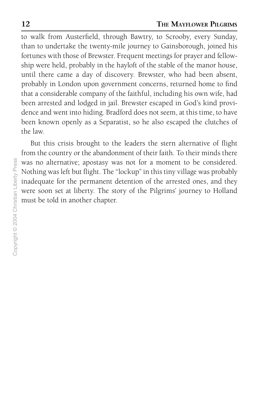to walk from Austerfield, through Bawtry, to Scrooby, every Sunday, than to undertake the twenty-mile journey to Gainsborough, joined his fortunes with those of Brewster. Frequent meetings for prayer and fellowship were held, probably in the hayloft of the stable of the manor house, until there came a day of discovery. Brewster, who had been absent, probably in London upon government concerns, returned home to find that a considerable company of the faithful, including his own wife, had been arrested and lodged in jail. Brewster escaped in God's kind providence and went into hiding. Bradford does not seem, at this time, to have been known openly as a Separatist, so he also escaped the clutches of the law.

But this crisis brought to the leaders the stern alternative of flight from the country or the abandonment of their faith. To their minds there was no alternative; apostasy was not for a moment to be considered. Nothing was left but flight. The "lockup" in this tiny village was probably inadequate for the permanent detention of the arrested ones, and they were soon set at liberty. The story of the Pilgrims' journey to Holland must be told in another chapter.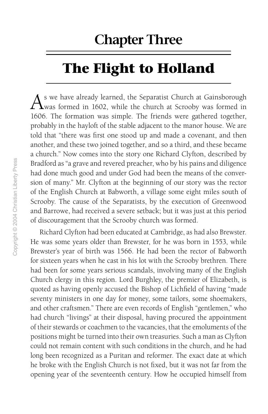### **Chapter Three**

# **The Flight to Holland**

s we have already learned, the Separatist Church at Gainsborough  $\Gamma$ was formed in 1602, while the church at Scrooby was formed in 1606. The formation was simple. The friends were gathered together, probably in the hayloft of the stable adjacent to the manor house. We are told that "there was first one stood up and made a covenant, and then another, and these two joined together, and so a third, and these became a church." Now comes into the story one Richard Clyfton, described by Bradford as "a grave and revered preacher, who by his pains and diligence had done much good and under God had been the means of the conversion of many." Mr. Clyfton at the beginning of our story was the rector of the English Church at Babworth, a village some eight miles south of Scrooby. The cause of the Separatists, by the execution of Greenwood and Barrowe, had received a severe setback; but it was just at this period of discouragement that the Scrooby church was formed.

Richard Clyfton had been educated at Cambridge, as had also Brewster. He was some years older than Brewster, for he was born in 1553, while Brewster's year of birth was 1566. He had been the rector of Babworth for sixteen years when he cast in his lot with the Scrooby brethren. There had been for some years serious scandals, involving many of the English Church clergy in this region. Lord Burghley, the premier of Elizabeth, is quoted as having openly accused the Bishop of Lichfield of having "made seventy ministers in one day for money, some tailors, some shoemakers, and other craftsmen." There are even records of English "gentlemen," who had church "livings" at their disposal, having procured the appointment of their stewards or coachmen to the vacancies, that the emoluments of the positions might be turned into their own treasuries. Such a man as Clyfton could not remain content with such conditions in the church, and he had long been recognized as a Puritan and reformer. The exact date at which he broke with the English Church is not fixed, but it was not far from the opening year of the seventeenth century. How he occupied himself from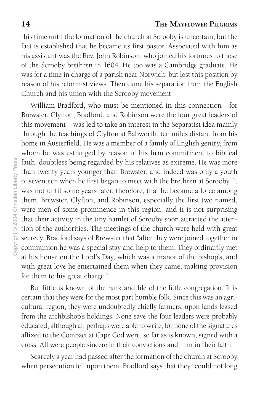this time until the formation of the church at Scrooby is uncertain, but the fact is established that he became its first pastor. Associated with him as his assistant was the Rev. John Robinson, who joined his fortunes to those of the Scrooby brethren in 1604. He too was a Cambridge graduate. He was for a time in charge of a parish near Norwich, but lost this position by reason of his reformist views. Then came his separation from the English Church and his union with the Scrooby movement.

William Bradford, who must be mentioned in this connection—for Brewster, Clyfton, Bradford, and Robinson were the four great leaders of this movement—was led to take an interest in the Separatist idea mainly through the teachings of Clyfton at Babworth, ten miles distant from his home in Austerfield. He was a member of a family of English gentry, from whom he was estranged by reason of his firm commitment to biblical faith, doubtless being regarded by his relatives as extreme. He was more than twenty years younger than Brewster, and indeed was only a youth of seventeen when he first began to meet with the brethren at Scrooby. It was not until some years later, therefore, that he became a force among them. Brewster, Clyfton, and Robinson, especially the first two named, were men of some prominence in this region, and it is not surprising that their activity in the tiny hamlet of Scrooby soon attracted the attention of the authorities. The meetings of the church were held with great secrecy. Bradford says of Brewster that "after they were joined together in communion he was a special stay and help to them. They ordinarily met at his house on the Lord's Day, which was a manor of the bishop's, and with great love he entertained them when they came, making provision for them to his great charge."

But little is known of the rank and file of the little congregation. It is certain that they were for the most part humble folk. Since this was an agricultural region, they were undoubtedly chiefly farmers, upon lands leased from the archbishop's holdings. None save the four leaders were probably educated, although all perhaps were able to write, for none of the signatures affixed to the Compact at Cape Cod were, so far as is known, signed with a cross. All were people sincere in their convictions and firm in their faith.

Scarcely a year had passed after the formation of the church at Scrooby when persecution fell upon them. Bradford says that they "could not long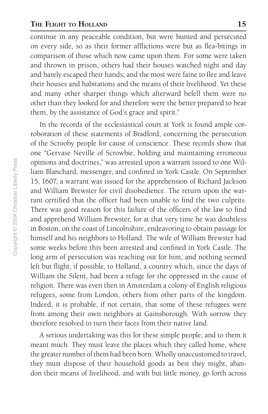continue in any peaceable condition, but were hunted and persecuted on every side, so as their former afflictions were but as flea-bitings in comparison of those which now came upon them. For some were taken and thrown in prison, others had their houses watched night and day and barely escaped their hands; and the most were faine to flee and leave their houses and habitations and the means of their livelihood. Yet these and many other sharper things which afterward befell them were no other than they looked for and therefore were the better prepared to bear them, by the assistance of God's grace and spirit."

In the records of the ecclesiastical court at York is found ample corroboration of these statements of Bradford, concerning the persecution of the Scrooby people for cause of conscience. These records show that one "Gervase Neville of Scrowbie, holding and maintaining erroneous opinions and doctrines," was arrested upon a warrant issued to one William Blanchard, messenger, and confined in York Castle. On September 15, 1607, a warrant was issued for the apprehension of Richard Jackson and William Brewster for civil disobedience. The return upon the warrant certified that the officer had been unable to find the two culprits. There was good reason for this failure of the officers of the law to find and apprehend William Brewster, for at that very time he was doubtless in Boston, on the coast of Lincolnshire, endeavoring to obtain passage for himself and his neighbors to Holland. The wife of William Brewster had some weeks before this been arrested and confined in York Castle. The long arm of persecution was reaching out for him, and nothing seemed left but flight, if possible, to Holland, a country which, since the days of William the Silent, had been a refuge for the oppressed in the cause of religion. There was even then in Amsterdam a colony of English religious refugees, some from London, others from other parts of the kingdom. Indeed, it is probable, if not certain, that some of these refugees were from among their own neighbors at Gainsborough. With sorrow they therefore resolved to turn their faces from their native land.

A serious undertaking was this for these simple people, and to them it meant much. They must leave the places which they called home, where the greater number of them had been born. Wholly unaccustomed to travel, they must dispose of their household goods as best they might, abandon their means of livelihood, and with but little money, go forth across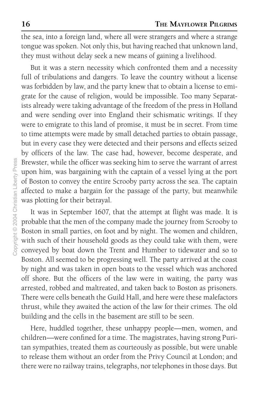the sea, into a foreign land, where all were strangers and where a strange tongue was spoken. Not only this, but having reached that unknown land, they must without delay seek a new means of gaining a livelihood.

But it was a stern necessity which confronted them and a necessity full of tribulations and dangers. To leave the country without a license was forbidden by law, and the party knew that to obtain a license to emigrate for the cause of religion, would be impossible. Too many Separatists already were taking advantage of the freedom of the press in Holland and were sending over into England their schismatic writings. If they were to emigrate to this land of promise, it must be in secret. From time to time attempts were made by small detached parties to obtain passage, but in every case they were detected and their persons and effects seized by officers of the law. The case had, however, become desperate, and Brewster, while the officer was seeking him to serve the warrant of arrest upon him, was bargaining with the captain of a vessel lying at the port of Boston to convey the entire Scrooby party across the sea. The captain affected to make a bargain for the passage of the party, but meanwhile was plotting for their betrayal.

It was in September 1607, that the attempt at flight was made. It is probable that the men of the company made the journey from Scrooby to Boston in small parties, on foot and by night. The women and children, with such of their household goods as they could take with them, were conveyed by boat down the Trent and Humber to tidewater and so to Boston. All seemed to be progressing well. The party arrived at the coast by night and was taken in open boats to the vessel which was anchored off shore. But the officers of the law were in waiting, the party was arrested, robbed and maltreated, and taken back to Boston as prisoners. There were cells beneath the Guild Hall, and here were these malefactors thrust, while they awaited the action of the law for their crimes. The old building and the cells in the basement are still to be seen.

Here, huddled together, these unhappy people—men, women, and children—were confined for a time. The magistrates, having strong Puritan sympathies, treated them as courteously as possible, but were unable to release them without an order from the Privy Council at London; and there were no railway trains, telegraphs, nor telephones in those days. But